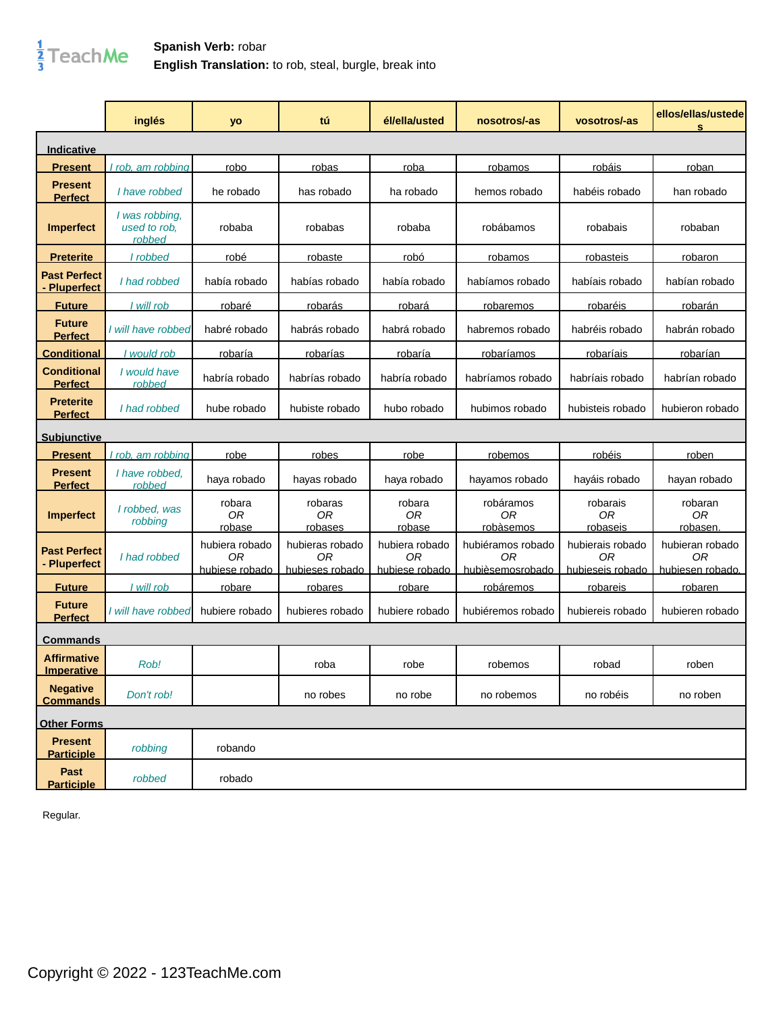

## **Spanish Verb:** robar **English Translation:** to rob, steal, burgle, break into

|                                          | inglés                                   | yo                                     | tú                                       | él/ella/usted                          | nosotros/-as                                | vosotros/-as                               | ellos/ellas/ustede<br>s                   |
|------------------------------------------|------------------------------------------|----------------------------------------|------------------------------------------|----------------------------------------|---------------------------------------------|--------------------------------------------|-------------------------------------------|
| Indicative                               |                                          |                                        |                                          |                                        |                                             |                                            |                                           |
| <b>Present</b>                           | rob, am robbing                          | robo                                   | robas                                    | roba                                   | robamos                                     | robáis                                     | roban                                     |
| <b>Present</b><br><b>Perfect</b>         | I have robbed                            | he robado                              | has robado                               | ha robado                              | hemos robado                                | habéis robado                              | han robado                                |
| <b>Imperfect</b>                         | I was robbing,<br>used to rob.<br>robbed | robaba                                 | robabas                                  | robaba                                 | robábamos                                   | robabais                                   | robaban                                   |
| <u>Preterite</u>                         | I robbed                                 | robé                                   | robaste                                  | robó                                   | robamos                                     | robasteis                                  | robaron                                   |
| <b>Past Perfect</b><br><b>Pluperfect</b> | I had robbed                             | había robado                           | habías robado                            | había robado                           | habíamos robado                             | habíais robado                             | habían robado                             |
| <b>Future</b>                            | I will rob                               | <u>robaré</u>                          | <u>robarás</u>                           | robará                                 | robaremos                                   | robaréis                                   | robarán                                   |
| <b>Future</b><br><b>Perfect</b>          | I will have robbed                       | habré robado                           | habrás robado                            | habrá robado                           | habremos robado                             | habréis robado                             | habrán robado                             |
| <b>Conditional</b>                       | I would rob                              | robaría                                | <u>robarías</u>                          | robaría                                | robaríamos                                  | <u>robaríais</u>                           | <u>robarían</u>                           |
| <b>Conditional</b><br><b>Perfect</b>     | I would have<br>robbed                   | habría robado                          | habrías robado                           | habría robado                          | habríamos robado                            | habríais robado                            | habrían robado                            |
| <b>Preterite</b><br><b>Perfect</b>       | I had robbed                             | hube robado                            | hubiste robado                           | hubo robado                            | hubimos robado                              | hubisteis robado                           | hubieron robado                           |
| <u>Subjunctive</u>                       |                                          |                                        |                                          |                                        |                                             |                                            |                                           |
| <b>Present</b>                           | rob, am robbing                          | robe                                   | robes                                    | robe                                   | <u>robemos</u>                              | <u>robéis</u>                              | roben                                     |
| <b>Present</b><br><b>Perfect</b>         | I have robbed.<br>robbed                 | haya robado                            | hayas robado                             | haya robado                            | hayamos robado                              | hayáis robado                              | hayan robado                              |
| <b>Imperfect</b>                         | I robbed, was<br>robbing                 | robara<br>0 <sub>R</sub><br>robase     | robaras<br>0 <sub>R</sub><br>robases     | robara<br>0 <sub>R</sub><br>robase     | robáramos<br>0R<br>robàsemos                | robarais<br>0 <sub>R</sub><br>robaseis     | robaran<br>0R<br><u>robasen</u>           |
| <b>Past Perfect</b><br>- Pluperfect      | I had robbed                             | hubiera robado<br>0R<br>hubiese robado | hubieras robado<br>0R<br>hubieses robado | hubiera robado<br>0R<br>hubiese robado | hubiéramos robado<br>0R<br>hubièsemosrobado | hubierais robado<br>0R<br>hubieseis robado | hubieran robado<br>0R<br>hubiesen robado. |
| <b>Future</b>                            | I will rob                               | <u>robare</u>                          | <u>robares</u>                           | <u>robare</u>                          | robáremos                                   | <u>robareis</u>                            | <u>robaren</u>                            |
| <b>Future</b><br><b>Perfect</b>          | I will have robbed                       | hubiere robado                         | hubieres robado                          | hubiere robado                         | hubiéremos robado                           | hubiereis robado                           | hubieren robado                           |
| Commands                                 |                                          |                                        |                                          |                                        |                                             |                                            |                                           |
| <b>Affirmative</b><br>Imperative         | Rob!                                     |                                        | roba                                     | robe                                   | robemos                                     | robad                                      | roben                                     |
| <b>Negative</b><br><b>Commands</b>       | Don't rob!                               |                                        | no robes                                 | no robe                                | no robemos                                  | no robéis                                  | no roben                                  |
| <b>Other Forms</b>                       |                                          |                                        |                                          |                                        |                                             |                                            |                                           |
| <b>Present</b><br><b>Participle</b>      | robbing                                  | robando                                |                                          |                                        |                                             |                                            |                                           |
| Past<br><b>Participle</b>                | robbed                                   | robado                                 |                                          |                                        |                                             |                                            |                                           |

Regular.